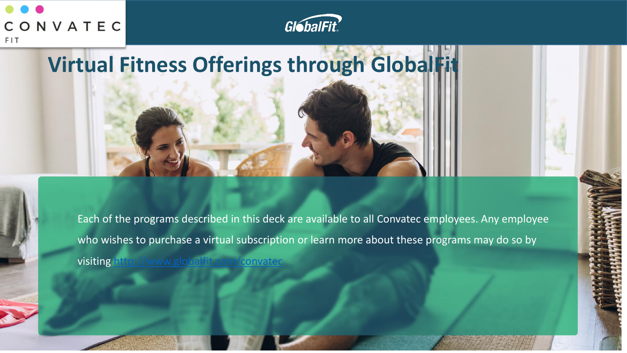



### **Virtual Fitness Offerings through GlobalFit**

Each of the programs described in this deck are available to all Convatec employees. Any employee who wishes to purchase a virtual subscription or learn more about these programs may do so by visiting<http://www.globalfit.com/convatec>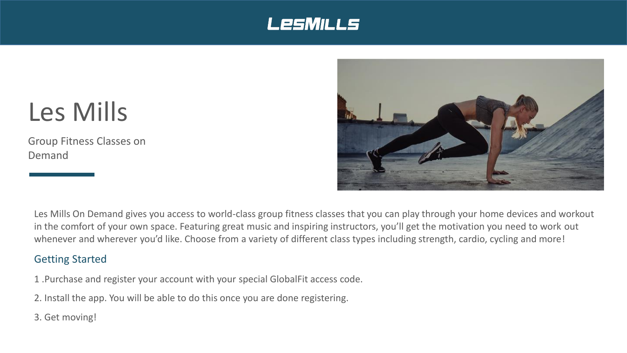

# Les Mills

Group Fitness Classes on Demand



Les Mills On Demand gives you access to world-class group fitness classes that you can play through your home devices and workout in the comfort of your own space. Featuring great music and inspiring instructors, you'll get the motivation you need to work out whenever and wherever you'd like. Choose from a variety of different class types including strength, cardio, cycling and more!

#### Getting Started

- 1 .Purchase and register your account with your special GlobalFit access code.
- 2. Install the app. You will be able to do this once you are done registering.
- 3. Get moving!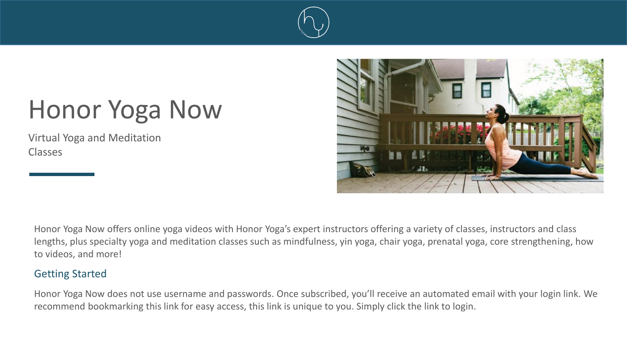

## Honor Yoga Now

Virtual Yoga and Meditation Classes



Honor Yoga Now offers online yoga videos with Honor Yoga's expert instructors offering a variety of classes, instructors and class lengths, plus specialty yoga and meditation classes such as mindfulness, yin yoga, chair yoga, prenatal yoga, core strengthening, how to videos, and more!

#### Getting Started

Honor Yoga Now does not use username and passwords. Once subscribed, you'll receive an automated email with your login link. We recommend bookmarking this link for easy access, this link is unique to you. Simply click the link to login.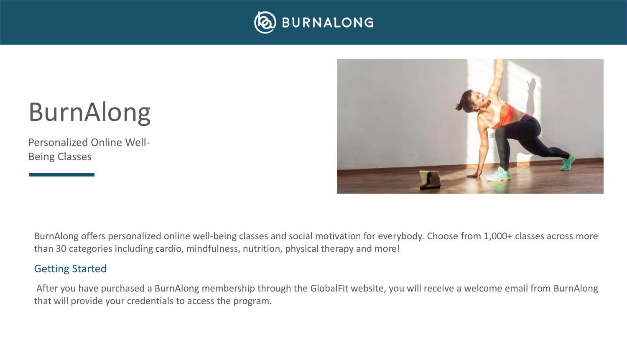



Personalized Online Well-Being Classes



BurnAlong offers personalized online well-being classes and social motivation for everybody. Choose from 1,000+ classes across more than 30 categories including cardio, mindfulness, nutrition, physical therapy and more!

#### Getting Started

After you have purchased a BurnAlong membership through the GlobalFit website, you will receive a welcome email from BurnAlong that will provide your credentials to access the program.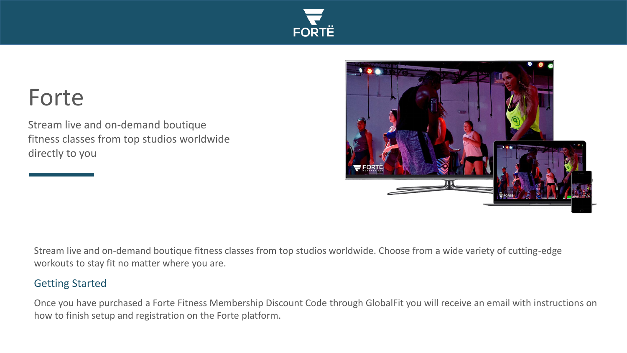

### Forte

Stream live and on-demand boutique fitness classes from top studios worldwide directly to you



Stream live and on-demand boutique fitness classes from top studios worldwide. Choose from a wide variety of cutting-edge workouts to stay fit no matter where you are.

#### Getting Started

Once you have purchased a Forte Fitness Membership Discount Code through GlobalFit you will receive an email with instructions on how to finish setup and registration on the Forte platform.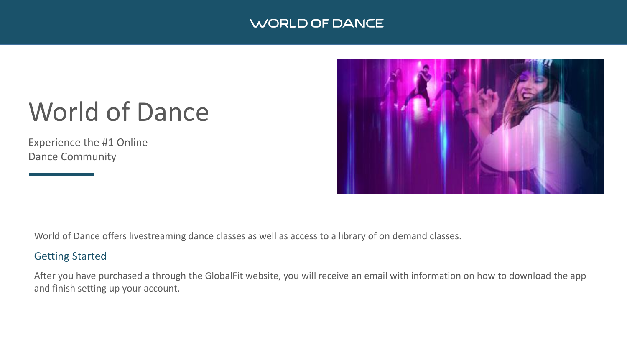#### WORLD OF DANCE

## World of Dance

Experience the #1 Online Dance Community



World of Dance offers livestreaming dance classes as well as access to a library of on demand classes.

#### Getting Started

After you have purchased a through the GlobalFit website, you will receive an email with information on how to download the app and finish setting up your account.